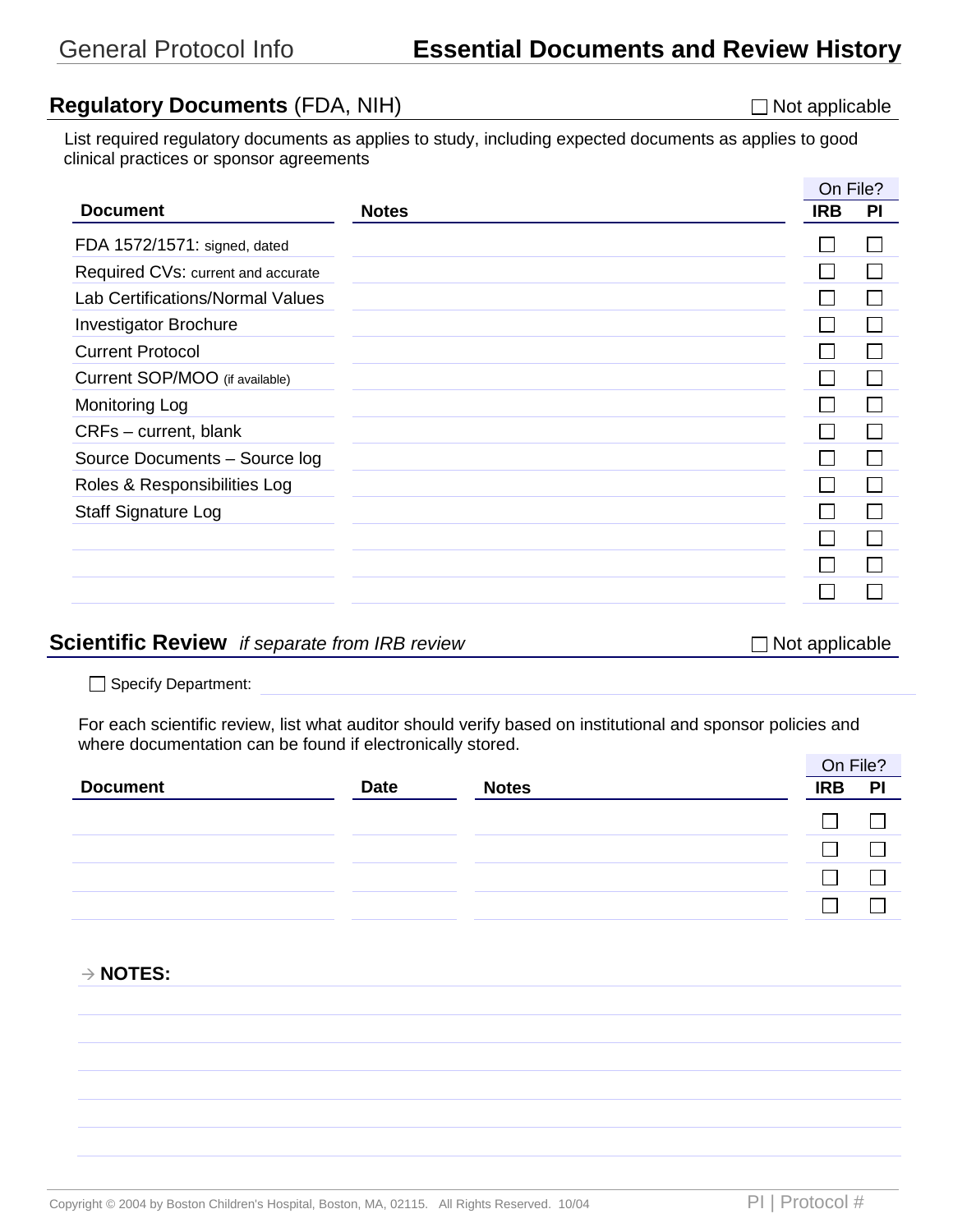## **Regulatory Documents** (FDA, NIH) Not applicable a December 1995 Not applicable

List required regulatory documents as applies to study, including expected documents as applies to good clinical practices or sponsor agreements

|              | On File?   |    |
|--------------|------------|----|
| <b>Notes</b> | <b>IRB</b> | PI |
|              |            |    |
|              |            |    |
|              |            |    |
|              |            |    |
|              |            |    |
|              |            |    |
|              |            |    |
|              |            |    |
|              |            |    |
|              |            |    |
|              |            |    |
|              |            |    |
|              |            |    |
|              |            |    |
|              |            |    |

#### **Scientific Review** *if separate from IRB review* Not applicable ■ Not applicable

Specify Department:

For each scientific review, list what auditor should verify based on institutional and sponsor policies and where documentation can be found if electronically stored.

|                 |             |              | On File?   |    |
|-----------------|-------------|--------------|------------|----|
| <b>Document</b> | <b>Date</b> | <b>Notes</b> | <b>IRB</b> | PI |
|                 |             |              |            |    |
|                 |             |              |            |    |
|                 |             |              |            |    |
|                 |             |              |            |    |

**NOTES:**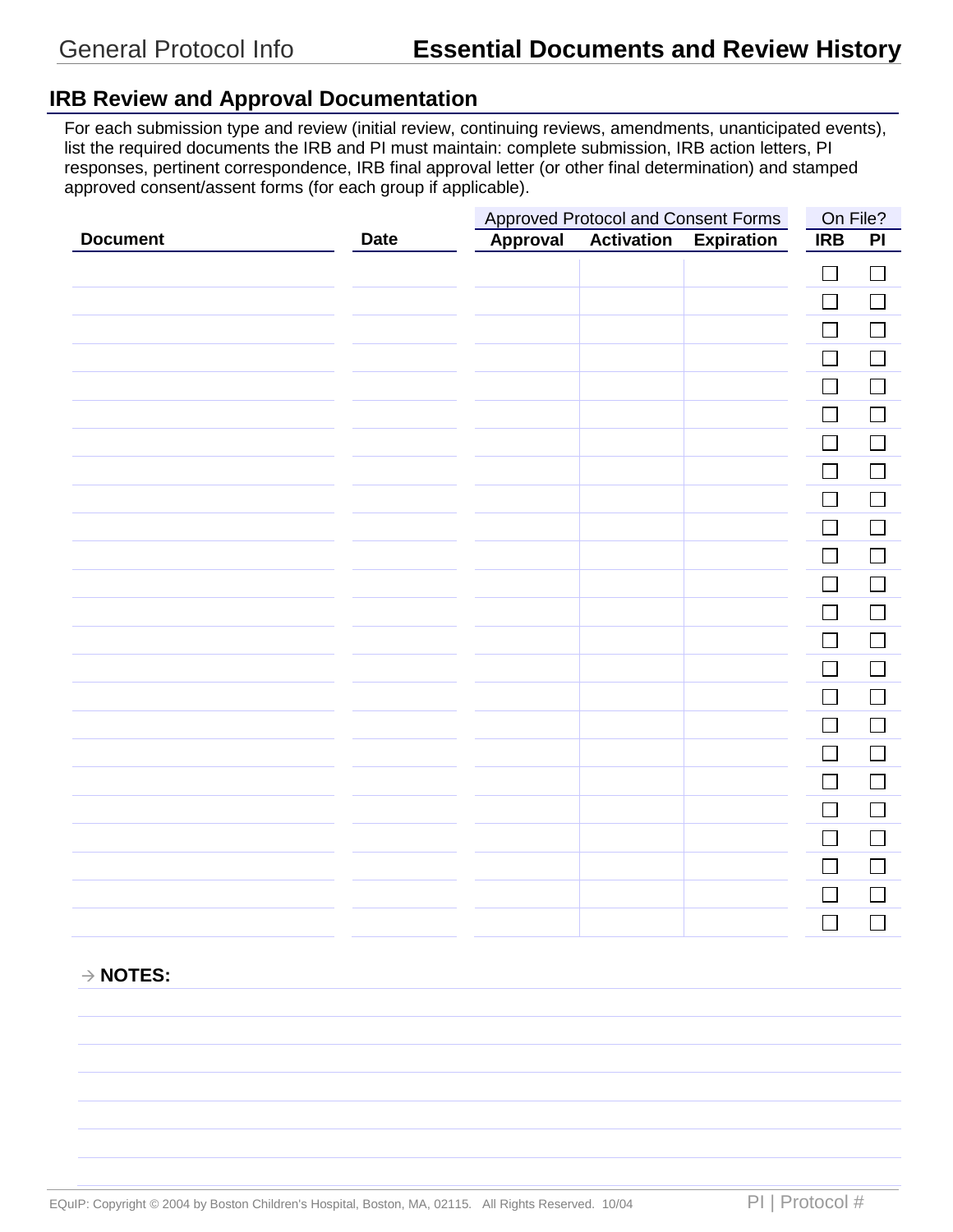## **IRB Review and Approval Documentation**

For each submission type and review (initial review, continuing reviews, amendments, unanticipated events), list the required documents the IRB and PI must maintain: complete submission, IRB action letters, PI responses, pertinent correspondence, IRB final approval letter (or other final determination) and stamped approved consent/assent forms (for each group if applicable).

|                 |             | <b>Approved Protocol and Consent Forms</b> |                   |                   |                          |        | On File? |  |
|-----------------|-------------|--------------------------------------------|-------------------|-------------------|--------------------------|--------|----------|--|
| <b>Document</b> | <b>Date</b> | <b>Approval</b>                            | <b>Activation</b> | <b>Expiration</b> | IRB                      | PI     |          |  |
|                 |             |                                            |                   |                   | $\Box$                   | $\Box$ |          |  |
|                 |             |                                            |                   |                   | $\Box$                   | $\Box$ |          |  |
|                 |             |                                            |                   |                   | $\overline{\phantom{0}}$ |        |          |  |
|                 |             |                                            |                   |                   |                          |        |          |  |
|                 |             |                                            |                   |                   |                          |        |          |  |
|                 |             |                                            |                   |                   |                          |        |          |  |
|                 |             |                                            |                   |                   |                          |        |          |  |
|                 |             |                                            |                   |                   |                          |        |          |  |
|                 |             |                                            |                   |                   |                          |        |          |  |
|                 |             |                                            |                   |                   |                          |        |          |  |
|                 |             |                                            |                   |                   | $\overline{\phantom{a}}$ |        |          |  |
|                 |             |                                            |                   |                   | $\overline{\phantom{a}}$ |        |          |  |
|                 |             |                                            |                   |                   | $\overline{\phantom{a}}$ |        |          |  |
|                 |             |                                            |                   |                   | $\overline{\phantom{a}}$ |        |          |  |
|                 |             |                                            |                   |                   |                          |        |          |  |
|                 |             |                                            |                   |                   | $\sim$                   |        |          |  |
|                 |             |                                            |                   |                   |                          |        |          |  |
|                 |             |                                            |                   |                   |                          |        |          |  |
|                 |             |                                            |                   |                   |                          |        |          |  |
|                 |             |                                            |                   |                   |                          |        |          |  |
|                 |             |                                            |                   |                   |                          |        |          |  |
|                 |             |                                            |                   |                   | $\sim$                   |        |          |  |
|                 |             |                                            |                   |                   | $\overline{\phantom{a}}$ |        |          |  |
|                 |             |                                            |                   |                   | $\Box$                   |        |          |  |

#### **NOTES:**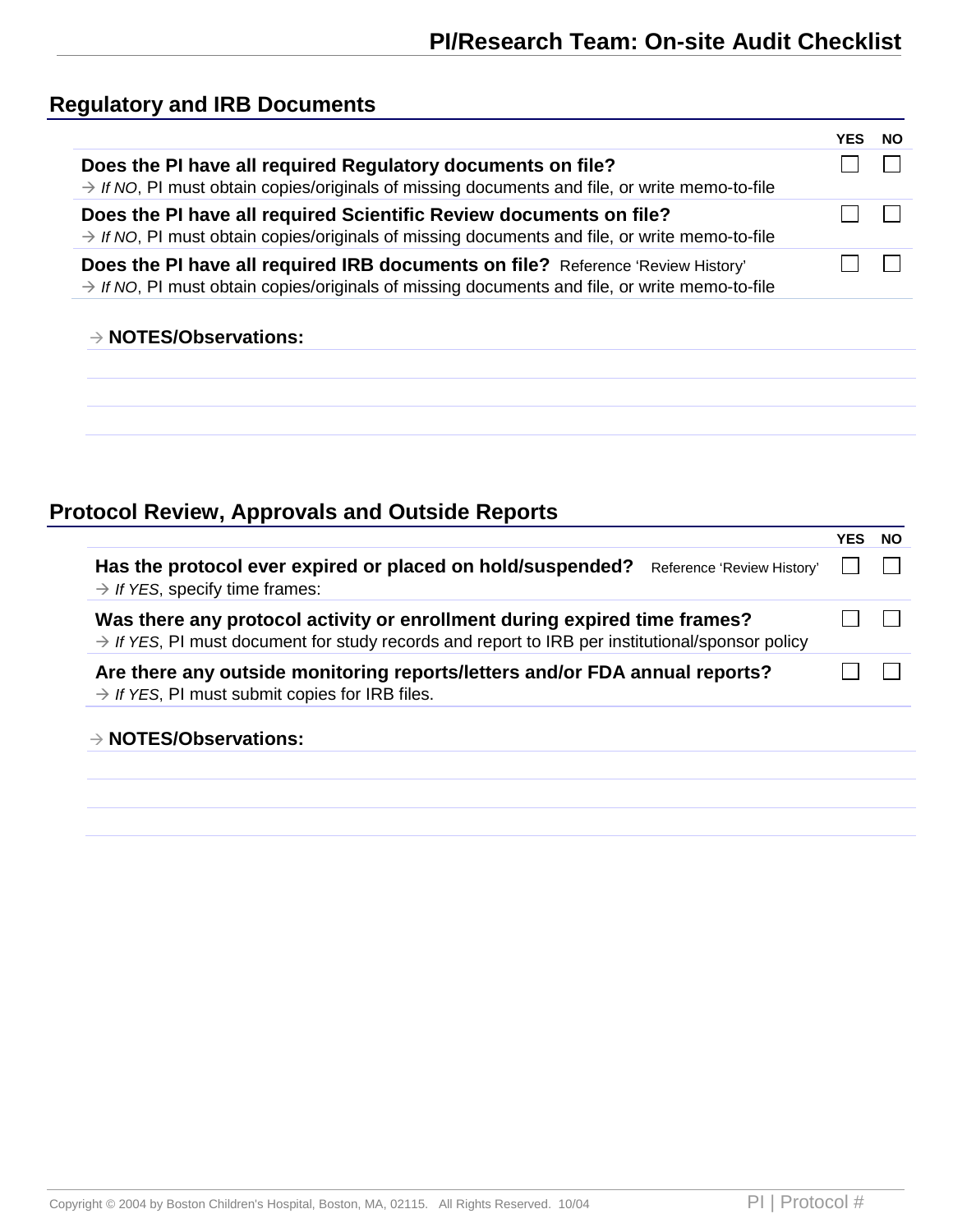## **Regulatory and IRB Documents**

|                                                                                                                                                                                              | NO. |
|----------------------------------------------------------------------------------------------------------------------------------------------------------------------------------------------|-----|
| Does the PI have all required Regulatory documents on file?<br>$\rightarrow$ If NO, PI must obtain copies/originals of missing documents and file, or write memo-to-file                     |     |
| Does the PI have all required Scientific Review documents on file?<br>$\rightarrow$ If NO, PI must obtain copies/originals of missing documents and file, or write memo-to-file              |     |
| Does the PI have all required IRB documents on file? Reference 'Review History'<br>$\rightarrow$ If NO, PI must obtain copies/originals of missing documents and file, or write memo-to-file |     |
| $\rightarrow$ NOTES/Observations:                                                                                                                                                            |     |

# **Protocol Review, Approvals and Outside Reports**

|                                                                                                                                                                                          | YFS | NO. |
|------------------------------------------------------------------------------------------------------------------------------------------------------------------------------------------|-----|-----|
| Has the protocol ever expired or placed on hold/suspended?<br>Reference 'Review History'<br>$\rightarrow$ If YES, specify time frames:                                                   |     |     |
| Was there any protocol activity or enrollment during expired time frames?<br>$\rightarrow$ If YES, PI must document for study records and report to IRB per institutional/sponsor policy |     |     |
| Are there any outside monitoring reports/letters and/or FDA annual reports?<br>$\rightarrow$ If YES, PI must submit copies for IRB files.                                                |     |     |
| $\rightarrow$ NOTES/Observations:                                                                                                                                                        |     |     |
|                                                                                                                                                                                          |     |     |
|                                                                                                                                                                                          |     |     |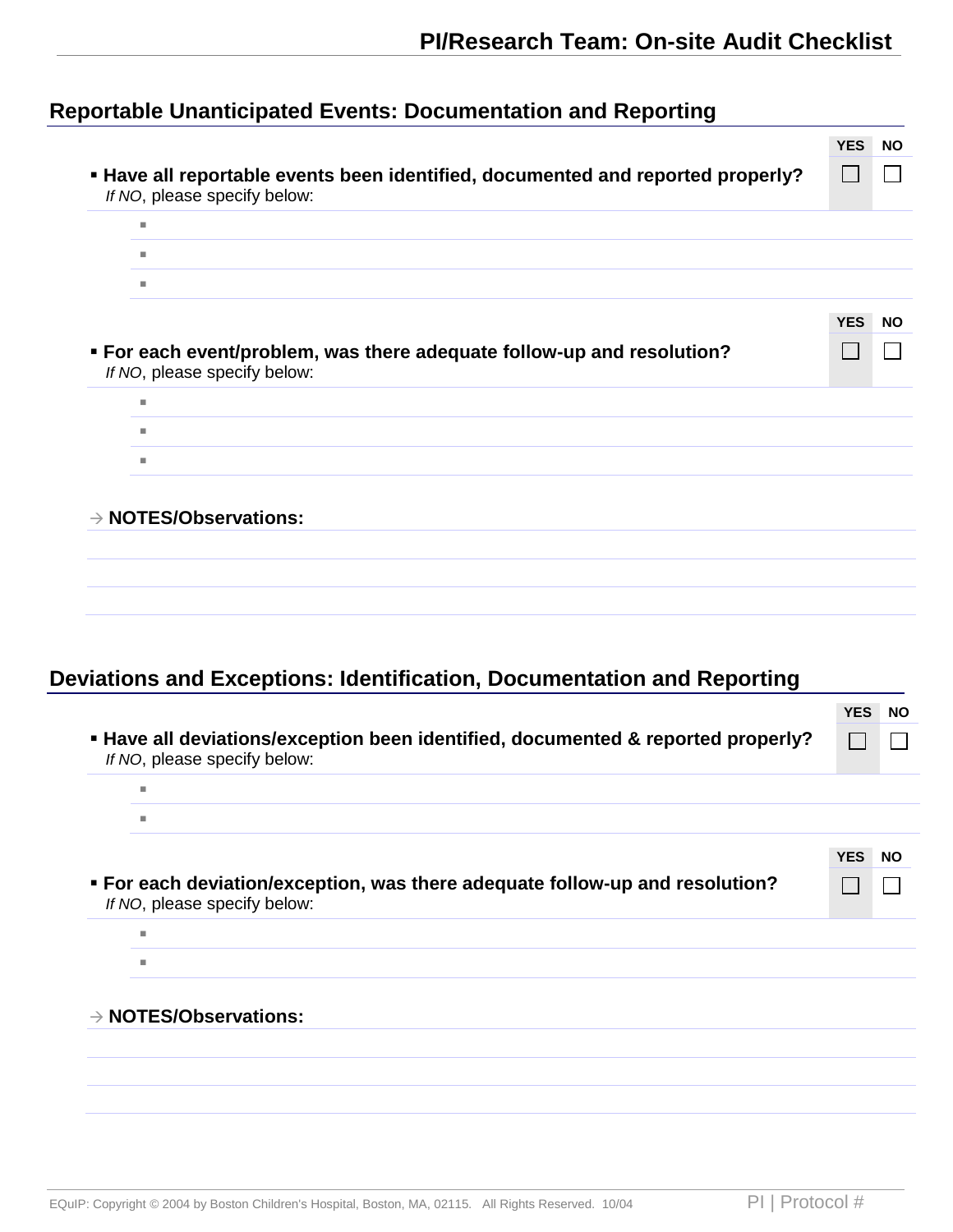# **Reportable Unanticipated Events: Documentation and Reporting**

|                                                                                                                 | <b>YES</b>   | <b>NO</b> |
|-----------------------------------------------------------------------------------------------------------------|--------------|-----------|
| " Have all reportable events been identified, documented and reported properly?<br>If NO, please specify below: | $\mathbf{I}$ |           |
| ٠                                                                                                               |              |           |
| m.                                                                                                              |              |           |
| m.                                                                                                              |              |           |
|                                                                                                                 | <b>YES</b>   | <b>NO</b> |
| • For each event/problem, was there adequate follow-up and resolution?<br>If NO, please specify below:          |              |           |
| ш                                                                                                               |              |           |
| ٠                                                                                                               |              |           |
| m.                                                                                                              |              |           |
| $\rightarrow$ NOTES/Observations:                                                                               |              |           |
|                                                                                                                 |              |           |

## **Deviations and Exceptions: Identification, Documentation and Reporting**

|                                                                                                                  | <b>YES</b><br><b>NO</b> |
|------------------------------------------------------------------------------------------------------------------|-------------------------|
| " Have all deviations/exception been identified, documented & reported properly?<br>If NO, please specify below: |                         |
| <b>In</b>                                                                                                        |                         |
| <b>In</b>                                                                                                        |                         |
|                                                                                                                  | <b>YES</b><br><b>NO</b> |
| • For each deviation/exception, was there adequate follow-up and resolution?<br>If NO, please specify below:     |                         |
| <b>III</b>                                                                                                       |                         |
| ш                                                                                                                |                         |
| $\rightarrow$ NOTES/Observations:                                                                                |                         |
|                                                                                                                  |                         |
|                                                                                                                  |                         |
|                                                                                                                  |                         |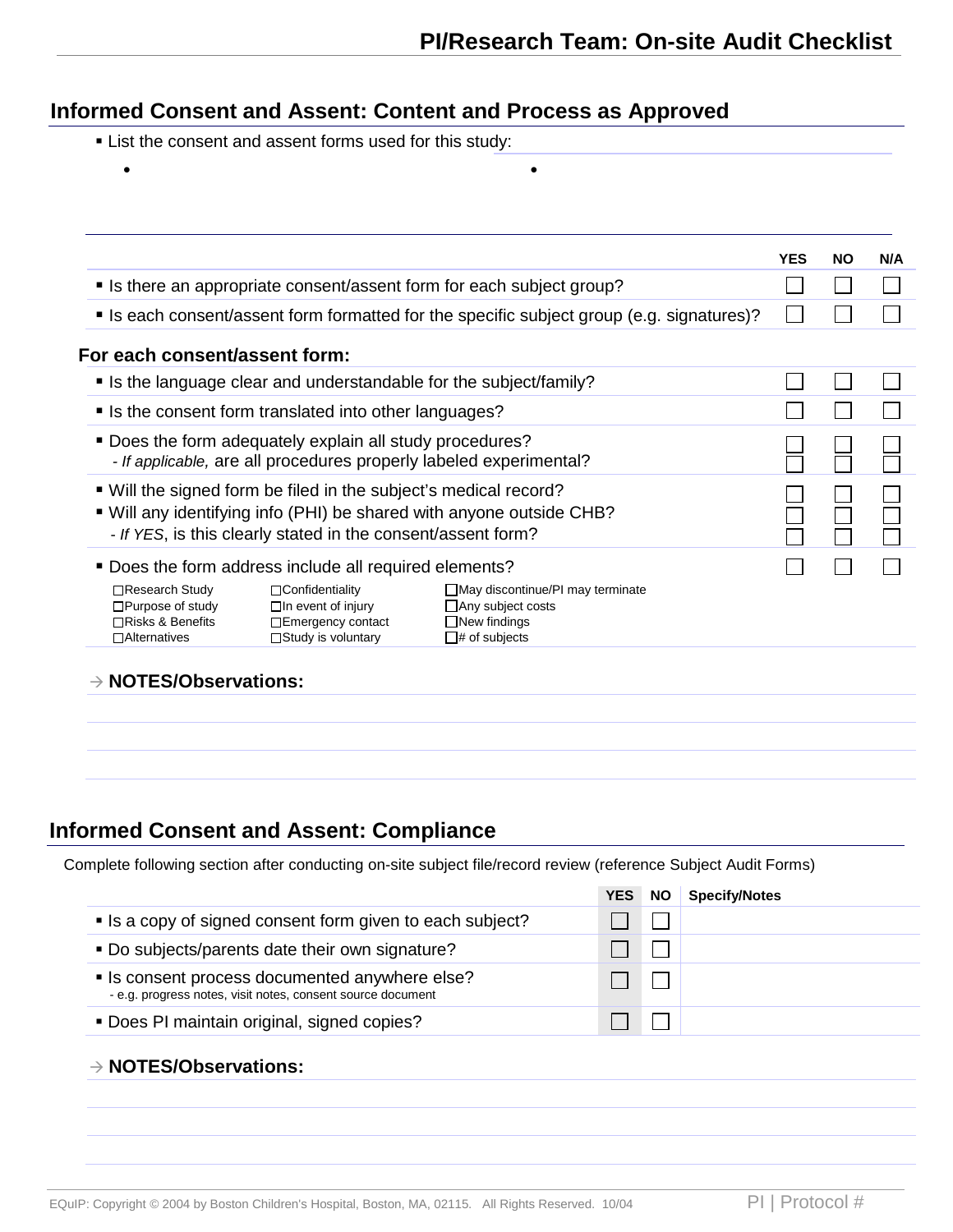## **Informed Consent and Assent: Content and Process as Approved**

- **Example 2** List the consent and assent forms used for this study:
	- •

|                                               |                                                                | <b>YES</b>                                                                                                                                                                                                                                                                                                                                                                                                                                                                                                                                                                                                                                                                                                 | <b>NO</b> | N/A |
|-----------------------------------------------|----------------------------------------------------------------|------------------------------------------------------------------------------------------------------------------------------------------------------------------------------------------------------------------------------------------------------------------------------------------------------------------------------------------------------------------------------------------------------------------------------------------------------------------------------------------------------------------------------------------------------------------------------------------------------------------------------------------------------------------------------------------------------------|-----------|-----|
|                                               |                                                                |                                                                                                                                                                                                                                                                                                                                                                                                                                                                                                                                                                                                                                                                                                            |           |     |
|                                               |                                                                |                                                                                                                                                                                                                                                                                                                                                                                                                                                                                                                                                                                                                                                                                                            |           |     |
| For each consent/assent form:                 |                                                                |                                                                                                                                                                                                                                                                                                                                                                                                                                                                                                                                                                                                                                                                                                            |           |     |
|                                               |                                                                |                                                                                                                                                                                                                                                                                                                                                                                                                                                                                                                                                                                                                                                                                                            |           |     |
|                                               |                                                                |                                                                                                                                                                                                                                                                                                                                                                                                                                                                                                                                                                                                                                                                                                            |           |     |
|                                               |                                                                |                                                                                                                                                                                                                                                                                                                                                                                                                                                                                                                                                                                                                                                                                                            |           |     |
|                                               |                                                                |                                                                                                                                                                                                                                                                                                                                                                                                                                                                                                                                                                                                                                                                                                            |           |     |
|                                               |                                                                |                                                                                                                                                                                                                                                                                                                                                                                                                                                                                                                                                                                                                                                                                                            |           |     |
| □Confidentiality<br>$\Box$ In event of injury | $\Box$ May discontinue/PI may terminate<br>□ Any subject costs |                                                                                                                                                                                                                                                                                                                                                                                                                                                                                                                                                                                                                                                                                                            |           |     |
|                                               |                                                                | • Is there an appropriate consent/assent form for each subject group?<br>■ Is each consent/assent form formatted for the specific subject group (e.g. signatures)?<br>• Is the language clear and understandable for the subject/family?<br>• Is the consent form translated into other languages?<br>" Does the form adequately explain all study procedures?<br>- If applicable, are all procedures properly labeled experimental?<br>■ Will the signed form be filed in the subject's medical record?<br>■ Will any identifying info (PHI) be shared with anyone outside CHB?<br>- If YES, is this clearly stated in the consent/assent form?<br>■ Does the form address include all required elements? |           |     |

### **Informed Consent and Assent: Compliance**

Complete following section after conducting on-site subject file/record review (reference Subject Audit Forms)

|                                                                                                               | <b>YES</b> | <b>NO</b> | <b>Specify/Notes</b> |
|---------------------------------------------------------------------------------------------------------------|------------|-----------|----------------------|
| • Is a copy of signed consent form given to each subject?                                                     |            |           |                      |
| . Do subjects/parents date their own signature?                                                               |            |           |                      |
| • Is consent process documented anywhere else?<br>- e.g. progress notes, visit notes, consent source document |            |           |                      |
| • Does PI maintain original, signed copies?                                                                   |            |           |                      |
|                                                                                                               |            |           |                      |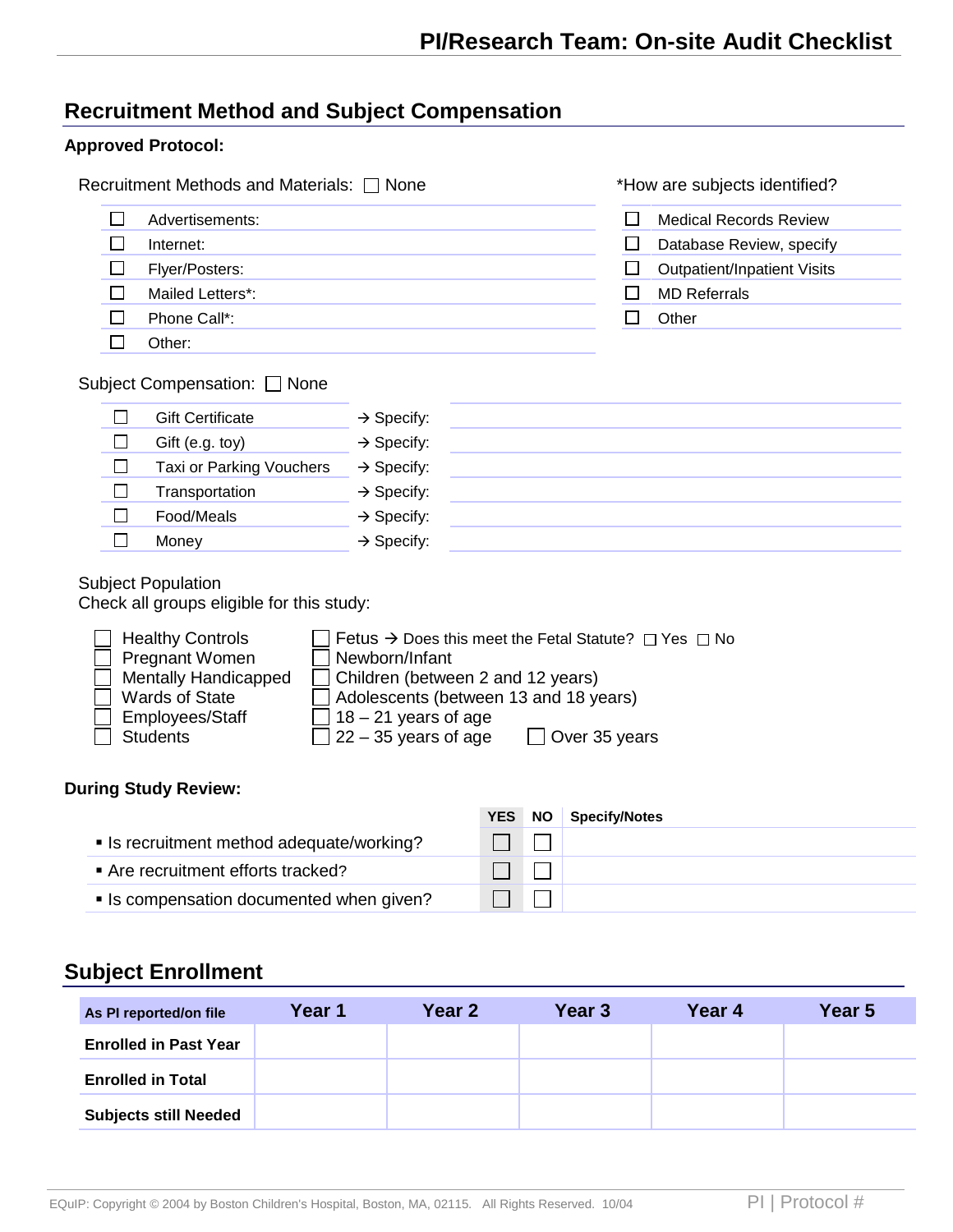## **Recruitment Method and Subject Compensation**

#### **Approved Protocol:**

**Enrolled in Total**

**Subjects still Needed**

|                                                                                                                                                                                                                                                                                                   | Recruitment Methods and Materials: □ None                                                                                                                                                                                      |                                   | *How are subjects identified?                                                                                        |        |
|---------------------------------------------------------------------------------------------------------------------------------------------------------------------------------------------------------------------------------------------------------------------------------------------------|--------------------------------------------------------------------------------------------------------------------------------------------------------------------------------------------------------------------------------|-----------------------------------|----------------------------------------------------------------------------------------------------------------------|--------|
| $\Box$<br>Advertisements:                                                                                                                                                                                                                                                                         |                                                                                                                                                                                                                                | $\sqcup$                          | <b>Medical Records Review</b>                                                                                        |        |
| $\mathsf{L}$<br>Internet:                                                                                                                                                                                                                                                                         |                                                                                                                                                                                                                                | $\Box$                            | Database Review, specify                                                                                             |        |
| Flyer/Posters:<br>⊔                                                                                                                                                                                                                                                                               |                                                                                                                                                                                                                                | $\Box$                            | <b>Outpatient/Inpatient Visits</b>                                                                                   |        |
| $\Box$<br>Mailed Letters*:                                                                                                                                                                                                                                                                        |                                                                                                                                                                                                                                | $\Box$                            | <b>MD Referrals</b>                                                                                                  |        |
| Phone Call*:<br>Other:<br>$\mathcal{L}_{\mathcal{A}}$                                                                                                                                                                                                                                             |                                                                                                                                                                                                                                | $\Box$                            | Other                                                                                                                |        |
| Subject Compensation: □ None<br><b>Gift Certificate</b><br>ப<br>$\Box$<br>Gift (e.g. toy)<br>Taxi or Parking Vouchers<br>$\Box$<br>Transportation<br>ப<br>□<br>Food/Meals<br>$\Box$<br>Money<br><b>Subject Population</b><br>Check all groups eligible for this study:<br><b>Healthy Controls</b> | $\rightarrow$ Specify:<br>$\rightarrow$ Specify:<br>$\rightarrow$ Specify:<br>$\rightarrow$ Specify:<br>$\rightarrow$ Specify:<br>$\rightarrow$ Specify:                                                                       |                                   | <u> 1989 - Johann Stein, marwolaethau a bhann an t-Amhain an t-Amhain an t-Amhain an t-Amhain an t-Amhain an t-A</u> |        |
| Pregnant Women<br><b>Mentally Handicapped</b><br><b>Wards of State</b><br>Employees/Staff<br><b>Students</b>                                                                                                                                                                                      | Fetus $\rightarrow$ Does this meet the Fetal Statute? $\Box$ Yes $\Box$ No<br>Newborn/Infant<br>Children (between 2 and 12 years)<br>Adolescents (between 13 and 18 years)<br>$18 - 21$ years of age<br>$22 - 35$ years of age | Over 35 years                     |                                                                                                                      |        |
|                                                                                                                                                                                                                                                                                                   |                                                                                                                                                                                                                                |                                   |                                                                                                                      |        |
|                                                                                                                                                                                                                                                                                                   | <b>YES</b>                                                                                                                                                                                                                     | <b>NO</b><br><b>Specify/Notes</b> |                                                                                                                      |        |
| • Is recruitment method adequate/working?                                                                                                                                                                                                                                                         |                                                                                                                                                                                                                                |                                   |                                                                                                                      |        |
| Are recruitment efforts tracked?                                                                                                                                                                                                                                                                  | $\Box$                                                                                                                                                                                                                         |                                   |                                                                                                                      |        |
| • Is compensation documented when given?                                                                                                                                                                                                                                                          |                                                                                                                                                                                                                                |                                   |                                                                                                                      |        |
|                                                                                                                                                                                                                                                                                                   |                                                                                                                                                                                                                                |                                   |                                                                                                                      |        |
| <b>During Study Review:</b><br><b>Subject Enrollment</b><br>Year 1<br>As PI reported/on file                                                                                                                                                                                                      | Year <sub>2</sub>                                                                                                                                                                                                              | Year <sub>3</sub>                 | Year 4                                                                                                               | Year 5 |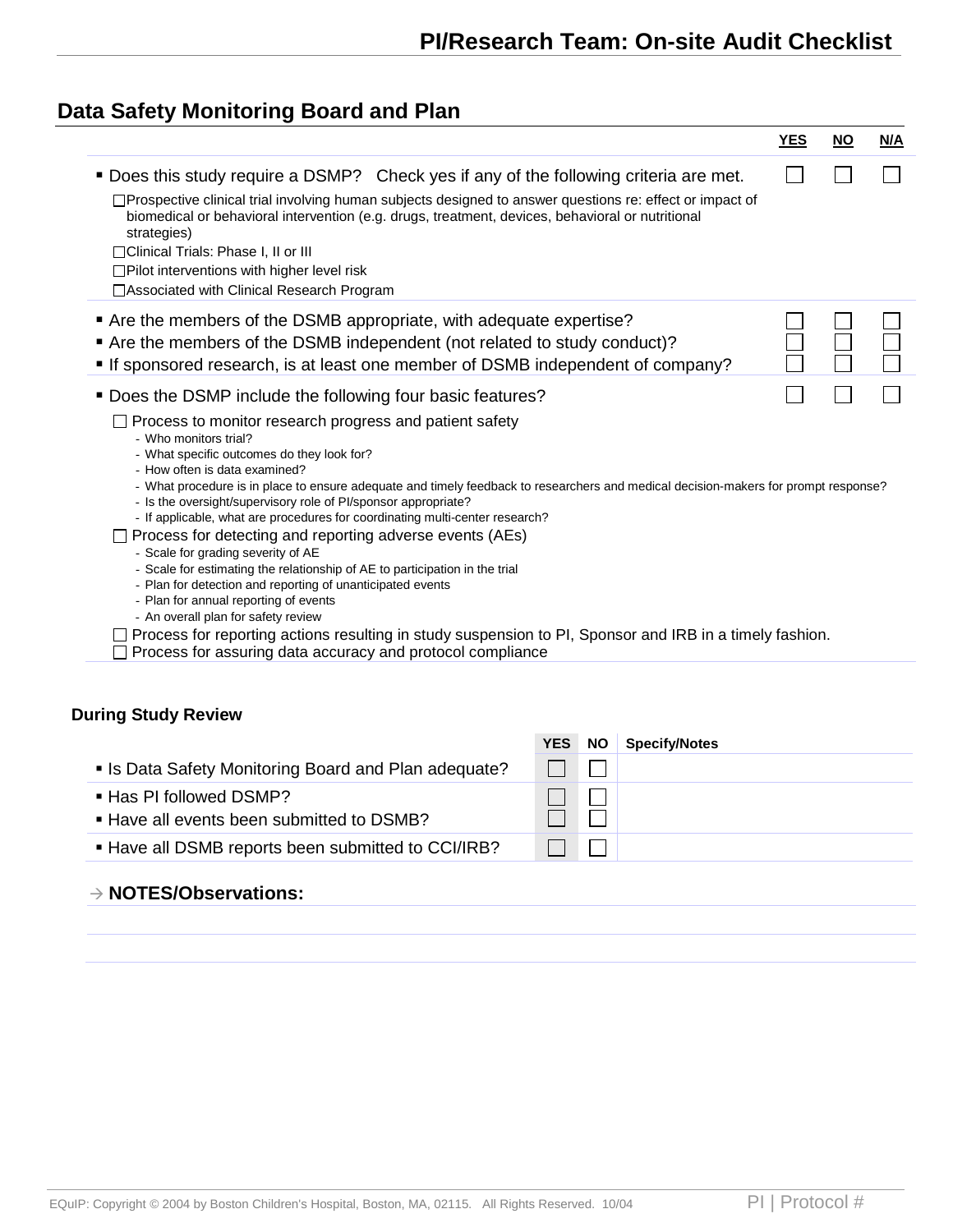## **Data Safety Monitoring Board and Plan**

|                                                                                                                                                                                                                                                                      | <u>YES</u> | <u>NO</u> | <u>N/A</u> |
|----------------------------------------------------------------------------------------------------------------------------------------------------------------------------------------------------------------------------------------------------------------------|------------|-----------|------------|
| " Does this study require a DSMP? Check yes if any of the following criteria are met.                                                                                                                                                                                |            |           |            |
| □Prospective clinical trial involving human subjects designed to answer questions re: effect or impact of<br>biomedical or behavioral intervention (e.g. drugs, treatment, devices, behavioral or nutritional<br>strategies)<br>□Clinical Trials: Phase I, II or III |            |           |            |
| □Pilot interventions with higher level risk                                                                                                                                                                                                                          |            |           |            |
| □ Associated with Clinical Research Program                                                                                                                                                                                                                          |            |           |            |
| Are the members of the DSMB appropriate, with adequate expertise?                                                                                                                                                                                                    |            |           |            |
| Are the members of the DSMB independent (not related to study conduct)?                                                                                                                                                                                              |            |           |            |
| "If sponsored research, is at least one member of DSMB independent of company?                                                                                                                                                                                       |            |           |            |
|                                                                                                                                                                                                                                                                      |            |           |            |
| ■ Does the DSMP include the following four basic features?                                                                                                                                                                                                           |            |           |            |
| $\Box$ Process to monitor research progress and patient safety<br>- Who monitors trial?                                                                                                                                                                              |            |           |            |
| - What specific outcomes do they look for?                                                                                                                                                                                                                           |            |           |            |
| - How often is data examined?                                                                                                                                                                                                                                        |            |           |            |
| - What procedure is in place to ensure adequate and timely feedback to researchers and medical decision-makers for prompt response?<br>- Is the oversight/supervisory role of PI/sponsor appropriate?                                                                |            |           |            |
| - If applicable, what are procedures for coordinating multi-center research?                                                                                                                                                                                         |            |           |            |
| $\Box$ Process for detecting and reporting adverse events (AEs)<br>- Scale for grading severity of AE                                                                                                                                                                |            |           |            |
| - Scale for estimating the relationship of AE to participation in the trial                                                                                                                                                                                          |            |           |            |
| - Plan for detection and reporting of unanticipated events                                                                                                                                                                                                           |            |           |            |
| - Plan for annual reporting of events                                                                                                                                                                                                                                |            |           |            |
| - An overall plan for safety review<br>$\Box$ Process for reporting actions resulting in study suspension to PI, Sponsor and IRB in a timely fashion.                                                                                                                |            |           |            |
|                                                                                                                                                                                                                                                                      |            |           |            |
| $\Box$ Process for assuring data accuracy and protocol compliance                                                                                                                                                                                                    |            |           |            |

|                                                                      | <b>YES</b> | <b>NO</b> | <b>Specify/Notes</b> |
|----------------------------------------------------------------------|------------|-----------|----------------------|
| • Is Data Safety Monitoring Board and Plan adequate?                 |            |           |                      |
| ■ Has PI followed DSMP?<br>■ Have all events been submitted to DSMB? |            |           |                      |
| . Have all DSMB reports been submitted to CCI/IRB?                   |            |           |                      |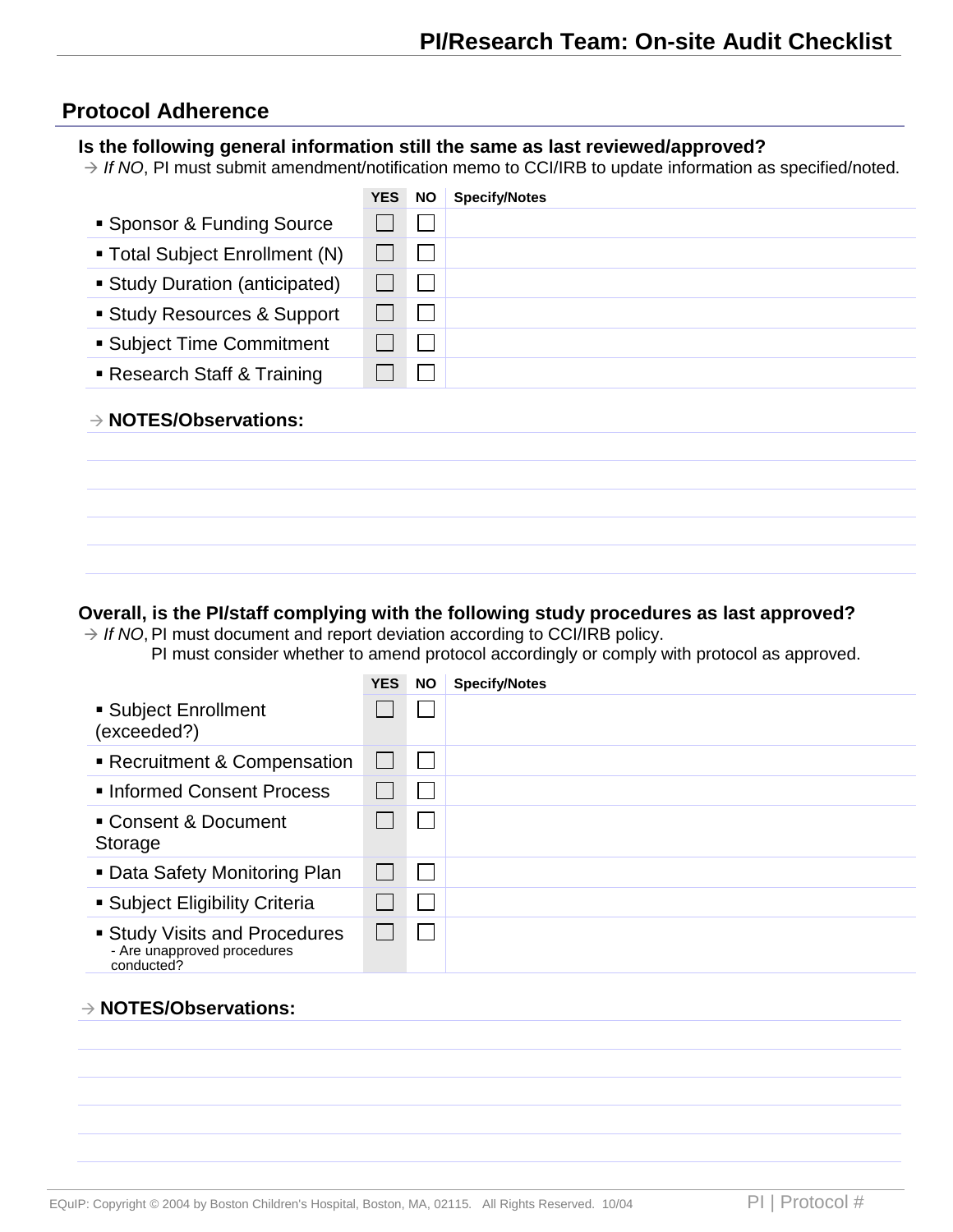#### **Protocol Adherence**

#### **Is the following general information still the same as last reviewed/approved?**

→ If NO, PI must submit amendment/notification memo to CCI/IRB to update information as specified/noted.

|                                   | <b>YES</b> | <b>NO</b> | <b>Specify/Notes</b> |
|-----------------------------------|------------|-----------|----------------------|
| • Sponsor & Funding Source        |            |           |                      |
| ■ Total Subject Enrollment (N)    |            |           |                      |
| • Study Duration (anticipated)    |            |           |                      |
| ■ Study Resources & Support       |            |           |                      |
| • Subject Time Commitment         |            |           |                      |
| ■ Research Staff & Training       |            |           |                      |
| $\rightarrow$ NOTES/Observations: |            |           |                      |
|                                   |            |           |                      |
|                                   |            |           |                      |
|                                   |            |           |                      |

#### **Overall, is the PI/staff complying with the following study procedures as last approved?**

 $\rightarrow$  If NO, PI must document and report deviation according to CCI/IRB policy. PI must consider whether to amend protocol accordingly or comply with protocol as approved.

|                                                                                 | <b>YES</b> | <b>NO</b> | <b>Specify/Notes</b> |
|---------------------------------------------------------------------------------|------------|-----------|----------------------|
| ■ Subject Enrollment<br>(exceeded?)                                             |            |           |                      |
| Recruitment & Compensation                                                      |            |           |                      |
| • Informed Consent Process                                                      |            |           |                      |
| • Consent & Document<br>Storage                                                 |            | l.        |                      |
| • Data Safety Monitoring Plan                                                   |            |           |                      |
| • Subject Eligibility Criteria                                                  |            |           |                      |
| <b>Study Visits and Procedures</b><br>- Are unapproved procedures<br>conducted? |            |           |                      |